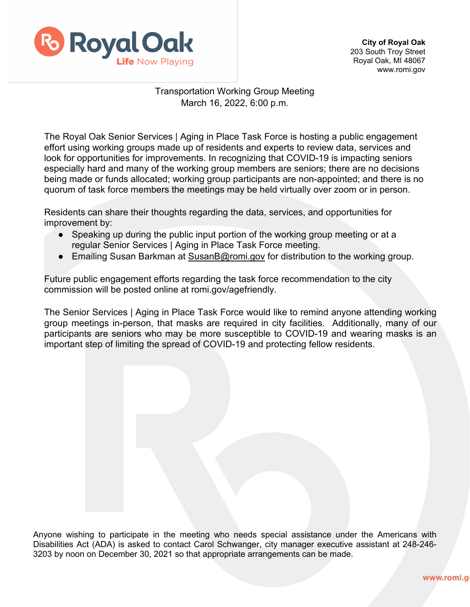

**City of Royal Oak**  203 South Troy Street Royal Oak, MI 48067 www.romi.gov

## Transportation Working Group Meeting March 16, 2022, 6:00 p.m.

The Royal Oak Senior Services | Aging in Place Task Force is hosting a public engagement effort using working groups made up of residents and experts to review data, services and look for opportunities for improvements. In recognizing that COVID-19 is impacting seniors especially hard and many of the working group members are seniors; there are no decisions being made or funds allocated; working group participants are non-appointed; and there is no quorum of task force members the meetings may be held virtually over zoom or in person.

Residents can share their thoughts regarding the data, services, and opportunities for improvement by:

- Speaking up during the public input portion of the working group meeting or at a regular Senior Services | Aging in Place Task Force meeting.
- Emailing Susan Barkman at [SusanB@romi.gov](mailto:SusanB@romi.gov) for distribution to the working group.

Future public engagement efforts regarding the task force recommendation to the city commission will be posted online at romi.gov/agefriendly.

The Senior Services | Aging in Place Task Force would like to remind anyone attending working group meetings in-person, that masks are required in city facilities. Additionally, many of our participants are seniors who may be more susceptible to COVID-19 and wearing masks is an important step of limiting the spread of COVID-19 and protecting fellow residents.

Anyone wishing to participate in the meeting who needs special assistance under the Americans with Disabilities Act (ADA) is asked to contact Carol Schwanger, city manager executive assistant at 248-246- 3203 by noon on December 30, 2021 so that appropriate arrangements can be made.